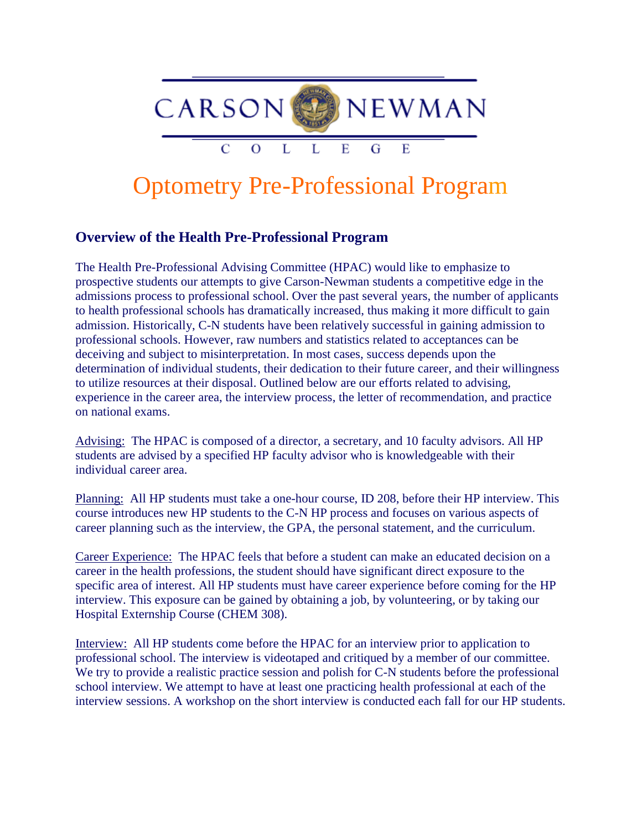

## Optometry Pre-Professional Program

## **Overview of the Health Pre-Professional Program**

The Health Pre-Professional Advising Committee (HPAC) would like to emphasize to prospective students our attempts to give Carson-Newman students a competitive edge in the admissions process to professional school. Over the past several years, the number of applicants to health professional schools has dramatically increased, thus making it more difficult to gain admission. Historically, C-N students have been relatively successful in gaining admission to professional schools. However, raw numbers and statistics related to acceptances can be deceiving and subject to misinterpretation. In most cases, success depends upon the determination of individual students, their dedication to their future career, and their willingness to utilize resources at their disposal. Outlined below are our efforts related to advising, experience in the career area, the interview process, the letter of recommendation, and practice on national exams.

Advising: The HPAC is composed of a director, a secretary, and 10 faculty advisors. All HP students are advised by a specified HP faculty advisor who is knowledgeable with their individual career area.

Planning: All HP students must take a one-hour course, ID 208, before their HP interview. This course introduces new HP students to the C-N HP process and focuses on various aspects of career planning such as the interview, the GPA, the personal statement, and the curriculum.

Career Experience: The HPAC feels that before a student can make an educated decision on a career in the health professions, the student should have significant direct exposure to the specific area of interest. All HP students must have career experience before coming for the HP interview. This exposure can be gained by obtaining a job, by volunteering, or by taking our Hospital Externship Course (CHEM 308).

Interview: All HP students come before the HPAC for an interview prior to application to professional school. The interview is videotaped and critiqued by a member of our committee. We try to provide a realistic practice session and polish for C-N students before the professional school interview. We attempt to have at least one practicing health professional at each of the interview sessions. A workshop on the short interview is conducted each fall for our HP students.